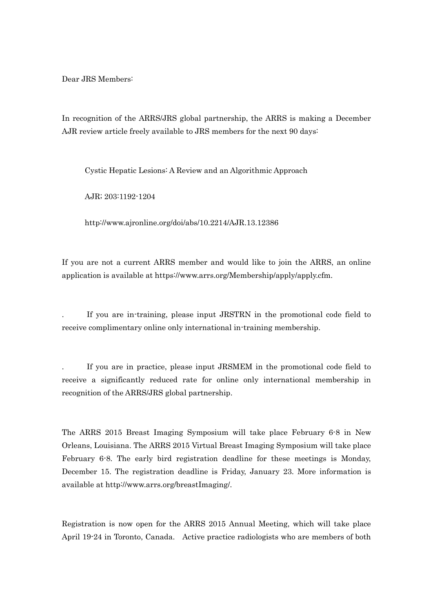Dear JRS Members:

In recognition of the ARRS/JRS global partnership, the ARRS is making a December AJR review article freely available to JRS members for the next 90 days:

Cystic Hepatic Lesions: A Review and an Algorithmic Approach

AJR; 203:1192-1204

http://www.ajronline.org/doi/abs/10.2214/AJR.13.12386

If you are not a current ARRS member and would like to join the ARRS, an online application is available at https://www.arrs.org/Membership/apply/apply.cfm.

. If you are in-training, please input JRSTRN in the promotional code field to receive complimentary online only international in-training membership.

. If you are in practice, please input JRSMEM in the promotional code field to receive a significantly reduced rate for online only international membership in recognition of the ARRS/JRS global partnership.

The ARRS 2015 Breast Imaging Symposium will take place February 6-8 in New Orleans, Louisiana. The ARRS 2015 Virtual Breast Imaging Symposium will take place February 6-8. The early bird registration deadline for these meetings is Monday, December 15. The registration deadline is Friday, January 23. More information is available at http://www.arrs.org/breastImaging/.

Registration is now open for the ARRS 2015 Annual Meeting, which will take place April 19-24 in Toronto, Canada. Active practice radiologists who are members of both